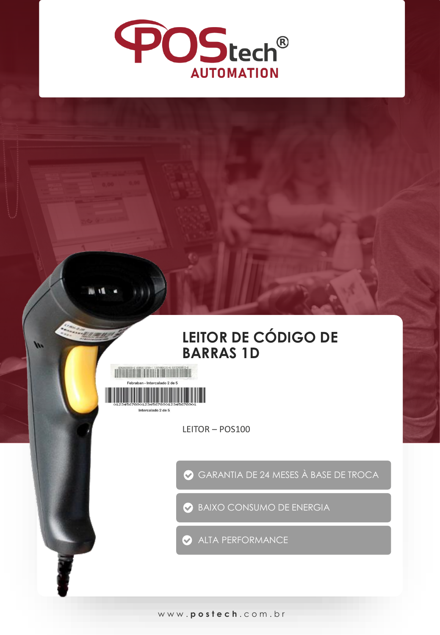

## LEITOR DE CÓDIGO DE **BARRAS 1D**



W

LEITOR-POS100

GARANTIA DE 24 MESES À BASE DE TROCA

BAIXO CONSUMO DE ENERGIA

ALTA PERFORMANCE

www.postech.com.br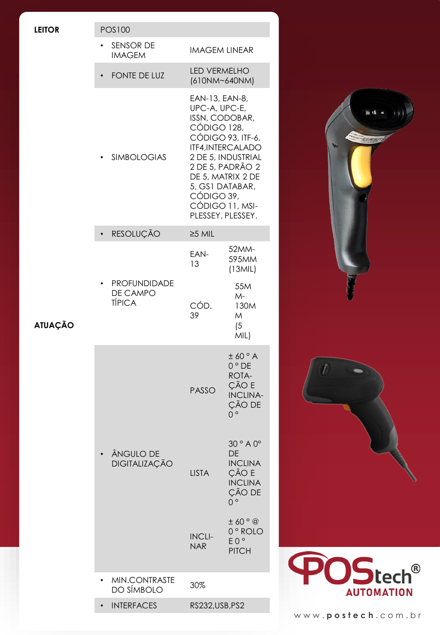| <b>LEITOR</b>  | <b>POS100</b>                             |                                                                                                                                                                                                                                                    |                                      |
|----------------|-------------------------------------------|----------------------------------------------------------------------------------------------------------------------------------------------------------------------------------------------------------------------------------------------------|--------------------------------------|
| <b>ATUAÇÃO</b> | SENSOR DE<br><b>IMAGEM</b>                | <b>IMAGEM LINEAR</b>                                                                                                                                                                                                                               |                                      |
|                | FONTE DE LUZ                              | LED VERMELHO<br>(610NM~640NM)                                                                                                                                                                                                                      |                                      |
|                | <b>SIMBOLOGIAS</b>                        | EAN-13, EAN-8,<br>UPC-A, UPC-E,<br>ISSN, CODOBAR,<br>CÓDIGO 128,<br>CÓDIGO 93, ITF-6,<br>ITF4, INTERCALADO<br>2 DE 5, INDUSTRIAL<br>2 DE 5, PADRÃO 2<br>DE 5, MATRIX 2 DE<br>5, GS1 DATABAR,<br>CÓDIGO 39,<br>CÓDIGO 11, MSI-<br>PLESSEY, PLESSEY. | <b>ALL 15</b><br>W                   |
|                | RESOLUÇÃO                                 | $\geq$ 5 MIL                                                                                                                                                                                                                                       |                                      |
|                | PROFUNDIDADE<br>DE CAMPO<br><b>TÍPICA</b> | 52MM-<br>EAN-<br>595MM<br>13<br>(13MIL)                                                                                                                                                                                                            |                                      |
|                |                                           | 55M<br>$M -$<br>CÓD.<br>130M<br>39<br>M<br>(5)<br>MIL)                                                                                                                                                                                             |                                      |
|                |                                           | ± 60° A<br>$0°$ DE<br>ROTA-<br>ÇÃO E<br><b>PASSO</b><br><b>INCLINA-</b><br>ÇÃO DE<br>$\overline{0}$ $\circ$                                                                                                                                        |                                      |
|                | ÂNGULO DE<br>DIGITALIZAÇÃO                | 30° A 0°<br><b>DE</b><br><b>INCLINA</b><br>ÇÃO E<br><b>LISTA</b><br><b>INCLINA</b><br>ÇÃO DE<br>$0^{\circ}$                                                                                                                                        |                                      |
|                |                                           | ±60°<br>0° ROLO<br><b>INCLI-</b><br>EO°<br><b>NAR</b><br><b>PITCH</b>                                                                                                                                                                              |                                      |
|                | MIN.CONTRASTE<br>DO SÍMBOLO               | 30%                                                                                                                                                                                                                                                | <b>POStech®</b><br><b>AUTOMATION</b> |
|                | <b>INTERFACES</b>                         | RS232, USB, PS2                                                                                                                                                                                                                                    |                                      |
|                |                                           |                                                                                                                                                                                                                                                    | www.postech.com.br                   |